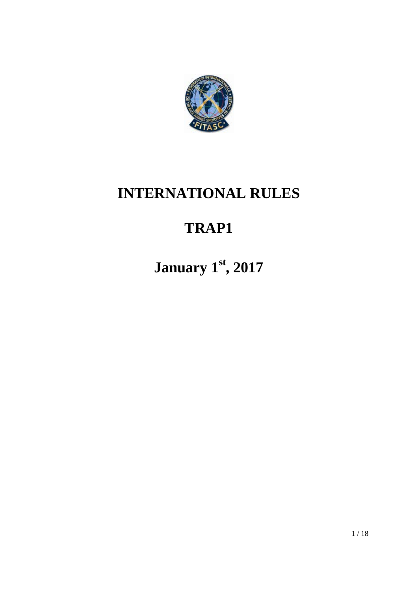

## **INTERNATIONAL RULES**

# **TRAP1**

**January 1st, 2017**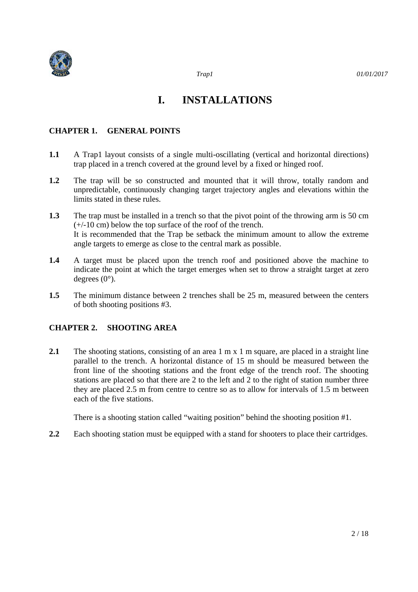

## **I. INSTALLATIONS**

#### **CHAPTER 1. GENERAL POINTS**

- **1.1** A Trap1 layout consists of a single multi-oscillating (vertical and horizontal directions) trap placed in a trench covered at the ground level by a fixed or hinged roof.
- **1.2** The trap will be so constructed and mounted that it will throw, totally random and unpredictable, continuously changing target trajectory angles and elevations within the limits stated in these rules.
- **1.3** The trap must be installed in a trench so that the pivot point of the throwing arm is 50 cm (+/-10 cm) below the top surface of the roof of the trench. It is recommended that the Trap be setback the minimum amount to allow the extreme angle targets to emerge as close to the central mark as possible.
- **1.4** A target must be placed upon the trench roof and positioned above the machine to indicate the point at which the target emerges when set to throw a straight target at zero degrees (0°).
- **1.5** The minimum distance between 2 trenches shall be 25 m, measured between the centers of both shooting positions #3.

#### **CHAPTER 2. SHOOTING AREA**

2.1 The shooting stations, consisting of an area 1 m x 1 m square, are placed in a straight line parallel to the trench. A horizontal distance of 15 m should be measured between the front line of the shooting stations and the front edge of the trench roof. The shooting stations are placed so that there are 2 to the left and 2 to the right of station number three they are placed 2.5 m from centre to centre so as to allow for intervals of 1.5 m between each of the five stations.

There is a shooting station called "waiting position" behind the shooting position #1.

**2.2** Each shooting station must be equipped with a stand for shooters to place their cartridges.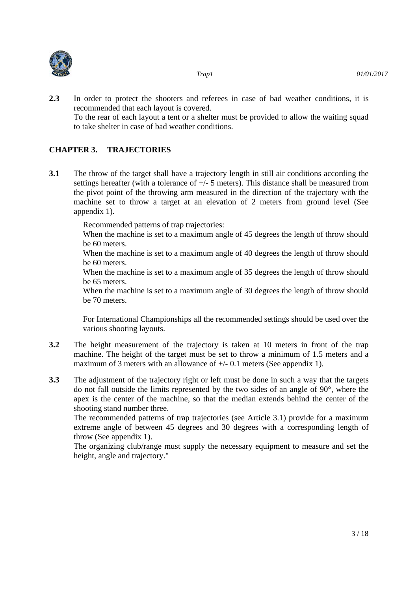



- *Trap1 01/01/2017*
- **2.3** In order to protect the shooters and referees in case of bad weather conditions, it is recommended that each layout is covered. To the rear of each layout a tent or a shelter must be provided to allow the waiting squad to take shelter in case of bad weather conditions.

#### **CHAPTER 3. TRAJECTORIES**

**3.1** The throw of the target shall have a trajectory length in still air conditions according the settings hereafter (with a tolerance of  $+\sqrt{-5}$  meters). This distance shall be measured from the pivot point of the throwing arm measured in the direction of the trajectory with the machine set to throw a target at an elevation of 2 meters from ground level (See appendix 1).

Recommended patterns of trap trajectories:

When the machine is set to a maximum angle of 45 degrees the length of throw should be 60 meters.

When the machine is set to a maximum angle of 40 degrees the length of throw should be 60 meters.

When the machine is set to a maximum angle of 35 degrees the length of throw should be 65 meters.

When the machine is set to a maximum angle of 30 degrees the length of throw should be 70 meters.

For International Championships all the recommended settings should be used over the various shooting layouts.

- **3.2** The height measurement of the trajectory is taken at 10 meters in front of the trap machine. The height of the target must be set to throw a minimum of 1.5 meters and a maximum of 3 meters with an allowance of  $+/- 0.1$  meters (See appendix 1).
- **3.3** The adjustment of the trajectory right or left must be done in such a way that the targets do not fall outside the limits represented by the two sides of an angle of 90°, where the apex is the center of the machine, so that the median extends behind the center of the shooting stand number three.

The recommended patterns of trap trajectories (see Article 3.1) provide for a maximum extreme angle of between 45 degrees and 30 degrees with a corresponding length of throw (See appendix 1).

The organizing club/range must supply the necessary equipment to measure and set the height, angle and trajectory."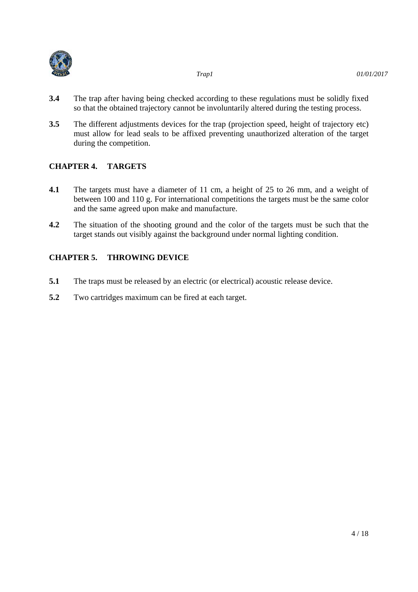

- **3.4** The trap after having being checked according to these regulations must be solidly fixed so that the obtained trajectory cannot be involuntarily altered during the testing process.
- **3.5** The different adjustments devices for the trap (projection speed, height of trajectory etc) must allow for lead seals to be affixed preventing unauthorized alteration of the target during the competition.

#### **CHAPTER 4. TARGETS**

- **4.1** The targets must have a diameter of 11 cm, a height of 25 to 26 mm, and a weight of between 100 and 110 g. For international competitions the targets must be the same color and the same agreed upon make and manufacture.
- **4.2** The situation of the shooting ground and the color of the targets must be such that the target stands out visibly against the background under normal lighting condition.

#### **CHAPTER 5. THROWING DEVICE**

- **5.1** The traps must be released by an electric (or electrical) acoustic release device.
- **5.2** Two cartridges maximum can be fired at each target.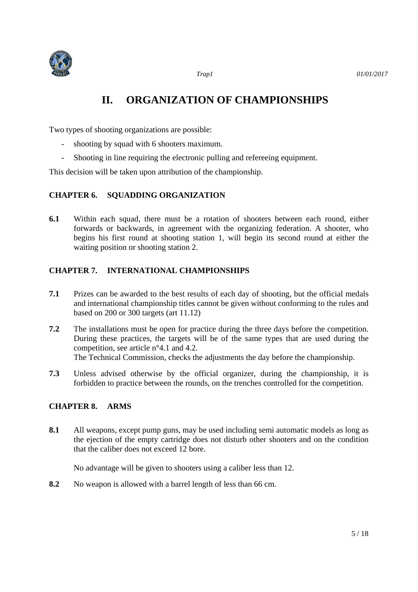

### **II. ORGANIZATION OF CHAMPIONSHIPS**

Two types of shooting organizations are possible:

- shooting by squad with 6 shooters maximum.
- Shooting in line requiring the electronic pulling and refereeing equipment.

This decision will be taken upon attribution of the championship.

#### **CHAPTER 6. SQUADDING ORGANIZATION**

**6.1** Within each squad, there must be a rotation of shooters between each round, either forwards or backwards, in agreement with the organizing federation. A shooter, who begins his first round at shooting station 1, will begin its second round at either the waiting position or shooting station 2.

#### **CHAPTER 7. INTERNATIONAL CHAMPIONSHIPS**

- **7.1** Prizes can be awarded to the best results of each day of shooting, but the official medals and international championship titles cannot be given without conforming to the rules and based on 200 or 300 targets (art 11.12)
- **7.2** The installations must be open for practice during the three days before the competition. During these practices, the targets will be of the same types that are used during the competition, see article n°4.1 and 4.2. The Technical Commission, checks the adjustments the day before the championship.
- **7.3** Unless advised otherwise by the official organizer, during the championship, it is forbidden to practice between the rounds, on the trenches controlled for the competition.

#### **CHAPTER 8. ARMS**

**8.1** All weapons, except pump guns, may be used including semi automatic models as long as the ejection of the empty cartridge does not disturb other shooters and on the condition that the caliber does not exceed 12 bore.

No advantage will be given to shooters using a caliber less than 12.

**8.2** No weapon is allowed with a barrel length of less than 66 cm.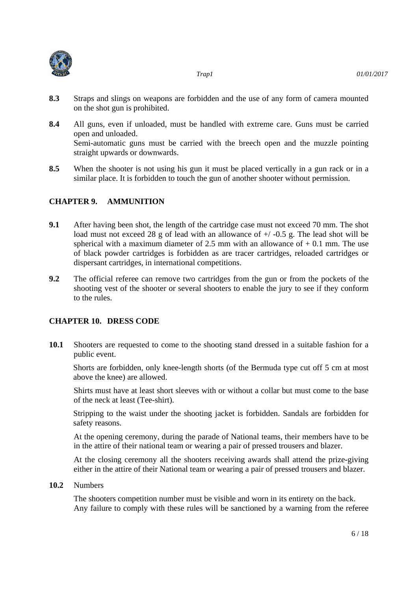

- **8.3** Straps and slings on weapons are forbidden and the use of any form of camera mounted on the shot gun is prohibited.
- **8.4** All guns, even if unloaded, must be handled with extreme care. Guns must be carried open and unloaded. Semi-automatic guns must be carried with the breech open and the muzzle pointing straight upwards or downwards.
- **8.5** When the shooter is not using his gun it must be placed vertically in a gun rack or in a similar place. It is forbidden to touch the gun of another shooter without permission.

#### **CHAPTER 9. AMMUNITION**

- **9.1** After having been shot, the length of the cartridge case must not exceed 70 mm. The shot load must not exceed 28 g of lead with an allowance of  $+/-0.5$  g. The lead shot will be spherical with a maximum diameter of 2.5 mm with an allowance of  $+$  0.1 mm. The use of black powder cartridges is forbidden as are tracer cartridges, reloaded cartridges or dispersant cartridges, in international competitions.
- **9.2** The official referee can remove two cartridges from the gun or from the pockets of the shooting vest of the shooter or several shooters to enable the jury to see if they conform to the rules.

#### **CHAPTER 10. DRESS CODE**

**10.1** Shooters are requested to come to the shooting stand dressed in a suitable fashion for a public event.

Shorts are forbidden, only knee-length shorts (of the Bermuda type cut off 5 cm at most above the knee) are allowed.

Shirts must have at least short sleeves with or without a collar but must come to the base of the neck at least (Tee-shirt).

Stripping to the waist under the shooting jacket is forbidden. Sandals are forbidden for safety reasons.

At the opening ceremony, during the parade of National teams, their members have to be in the attire of their national team or wearing a pair of pressed trousers and blazer.

At the closing ceremony all the shooters receiving awards shall attend the prize-giving either in the attire of their National team or wearing a pair of pressed trousers and blazer.

**10.2** Numbers

The shooters competition number must be visible and worn in its entirety on the back. Any failure to comply with these rules will be sanctioned by a warning from the referee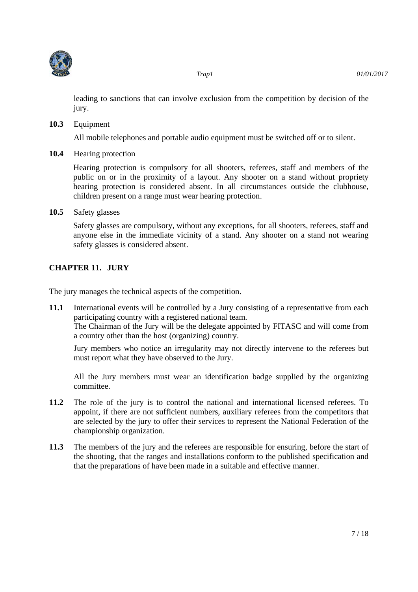

leading to sanctions that can involve exclusion from the competition by decision of the jury.

**10.3** Equipment

All mobile telephones and portable audio equipment must be switched off or to silent.

**10.4** Hearing protection

Hearing protection is compulsory for all shooters, referees, staff and members of the public on or in the proximity of a layout. Any shooter on a stand without propriety hearing protection is considered absent. In all circumstances outside the clubhouse, children present on a range must wear hearing protection.

**10.5** Safety glasses

Safety glasses are compulsory, without any exceptions, for all shooters, referees, staff and anyone else in the immediate vicinity of a stand. Any shooter on a stand not wearing safety glasses is considered absent.

#### **CHAPTER 11. JURY**

The jury manages the technical aspects of the competition.

**11.1** International events will be controlled by a Jury consisting of a representative from each participating country with a registered national team. The Chairman of the Jury will be the delegate appointed by FITASC and will come from a country other than the host (organizing) country.

Jury members who notice an irregularity may not directly intervene to the referees but must report what they have observed to the Jury.

All the Jury members must wear an identification badge supplied by the organizing committee.

- **11.2** The role of the jury is to control the national and international licensed referees. To appoint, if there are not sufficient numbers, auxiliary referees from the competitors that are selected by the jury to offer their services to represent the National Federation of the championship organization.
- **11.3** The members of the jury and the referees are responsible for ensuring, before the start of the shooting, that the ranges and installations conform to the published specification and that the preparations of have been made in a suitable and effective manner.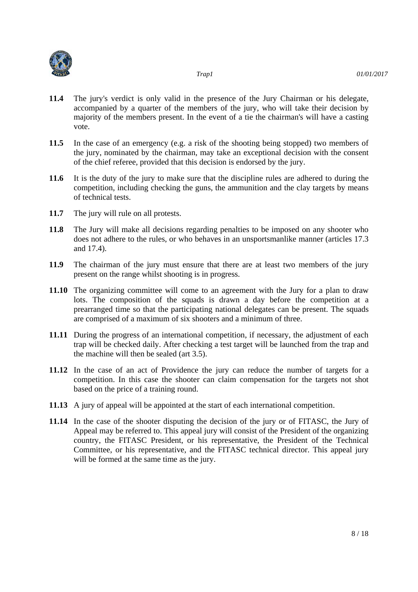

- **11.4** The jury's verdict is only valid in the presence of the Jury Chairman or his delegate, accompanied by a quarter of the members of the jury, who will take their decision by majority of the members present. In the event of a tie the chairman's will have a casting vote.
- **11.5** In the case of an emergency (e.g. a risk of the shooting being stopped) two members of the jury, nominated by the chairman, may take an exceptional decision with the consent of the chief referee, provided that this decision is endorsed by the jury.
- **11.6** It is the duty of the jury to make sure that the discipline rules are adhered to during the competition, including checking the guns, the ammunition and the clay targets by means of technical tests.
- **11.7** The jury will rule on all protests.
- **11.8** The Jury will make all decisions regarding penalties to be imposed on any shooter who does not adhere to the rules, or who behaves in an unsportsmanlike manner (articles 17.3 and 17.4).
- **11.9** The chairman of the jury must ensure that there are at least two members of the jury present on the range whilst shooting is in progress.
- **11.10** The organizing committee will come to an agreement with the Jury for a plan to draw lots. The composition of the squads is drawn a day before the competition at a prearranged time so that the participating national delegates can be present. The squads are comprised of a maximum of six shooters and a minimum of three.
- **11.11** During the progress of an international competition, if necessary, the adjustment of each trap will be checked daily. After checking a test target will be launched from the trap and the machine will then be sealed (art 3.5).
- **11.12** In the case of an act of Providence the jury can reduce the number of targets for a competition. In this case the shooter can claim compensation for the targets not shot based on the price of a training round.
- **11.13** A jury of appeal will be appointed at the start of each international competition.
- **11.14** In the case of the shooter disputing the decision of the jury or of FITASC, the Jury of Appeal may be referred to. This appeal jury will consist of the President of the organizing country, the FITASC President, or his representative, the President of the Technical Committee, or his representative, and the FITASC technical director. This appeal jury will be formed at the same time as the jury.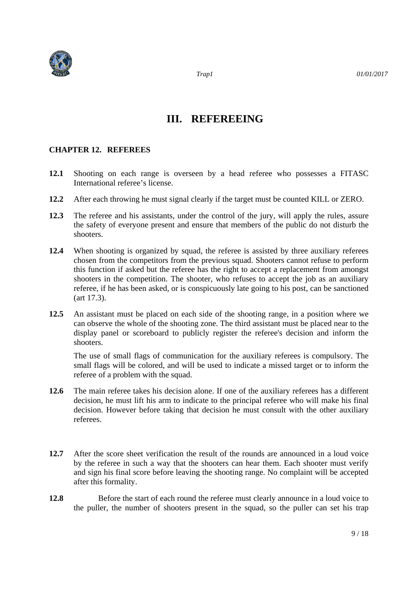

### **III. REFEREEING**

#### **CHAPTER 12. REFEREES**

- **12.1** Shooting on each range is overseen by a head referee who possesses a FITASC International referee's license.
- **12.2** After each throwing he must signal clearly if the target must be counted KILL or ZERO.
- **12.3** The referee and his assistants, under the control of the jury, will apply the rules, assure the safety of everyone present and ensure that members of the public do not disturb the shooters.
- **12.4** When shooting is organized by squad, the referee is assisted by three auxiliary referees chosen from the competitors from the previous squad. Shooters cannot refuse to perform this function if asked but the referee has the right to accept a replacement from amongst shooters in the competition. The shooter, who refuses to accept the job as an auxiliary referee, if he has been asked, or is conspicuously late going to his post, can be sanctioned (art 17.3).
- **12.5** An assistant must be placed on each side of the shooting range, in a position where we can observe the whole of the shooting zone. The third assistant must be placed near to the display panel or scoreboard to publicly register the referee's decision and inform the shooters.

The use of small flags of communication for the auxiliary referees is compulsory. The small flags will be colored, and will be used to indicate a missed target or to inform the referee of a problem with the squad.

- **12.6** The main referee takes his decision alone. If one of the auxiliary referees has a different decision, he must lift his arm to indicate to the principal referee who will make his final decision. However before taking that decision he must consult with the other auxiliary referees.
- **12.7** After the score sheet verification the result of the rounds are announced in a loud voice by the referee in such a way that the shooters can hear them. Each shooter must verify and sign his final score before leaving the shooting range. No complaint will be accepted after this formality.
- 12.8 Before the start of each round the referee must clearly announce in a loud voice to the puller, the number of shooters present in the squad, so the puller can set his trap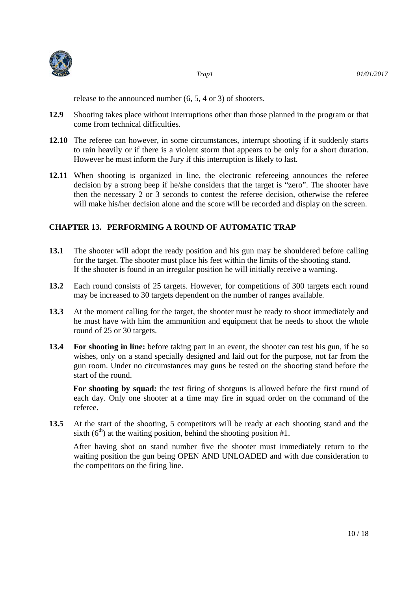



 *Trap1 01/01/2017* 

release to the announced number (6, 5, 4 or 3) of shooters.

- **12.9** Shooting takes place without interruptions other than those planned in the program or that come from technical difficulties.
- **12.10** The referee can however, in some circumstances, interrupt shooting if it suddenly starts to rain heavily or if there is a violent storm that appears to be only for a short duration. However he must inform the Jury if this interruption is likely to last.
- 12.11 When shooting is organized in line, the electronic refereeing announces the referee decision by a strong beep if he/she considers that the target is "zero". The shooter have then the necessary 2 or 3 seconds to contest the referee decision, otherwise the referee will make his/her decision alone and the score will be recorded and display on the screen.

#### **CHAPTER 13. PERFORMING A ROUND OF AUTOMATIC TRAP**

- **13.1** The shooter will adopt the ready position and his gun may be shouldered before calling for the target. The shooter must place his feet within the limits of the shooting stand. If the shooter is found in an irregular position he will initially receive a warning.
- **13.2** Each round consists of 25 targets. However, for competitions of 300 targets each round may be increased to 30 targets dependent on the number of ranges available.
- **13.3** At the moment calling for the target, the shooter must be ready to shoot immediately and he must have with him the ammunition and equipment that he needs to shoot the whole round of 25 or 30 targets.
- **13.4 For shooting in line:** before taking part in an event, the shooter can test his gun, if he so wishes, only on a stand specially designed and laid out for the purpose, not far from the gun room. Under no circumstances may guns be tested on the shooting stand before the start of the round.

**For shooting by squad:** the test firing of shotguns is allowed before the first round of each day. Only one shooter at a time may fire in squad order on the command of the referee.

**13.5** At the start of the shooting, 5 competitors will be ready at each shooting stand and the sixth  $(6<sup>th</sup>)$  at the waiting position, behind the shooting position #1.

After having shot on stand number five the shooter must immediately return to the waiting position the gun being OPEN AND UNLOADED and with due consideration to the competitors on the firing line.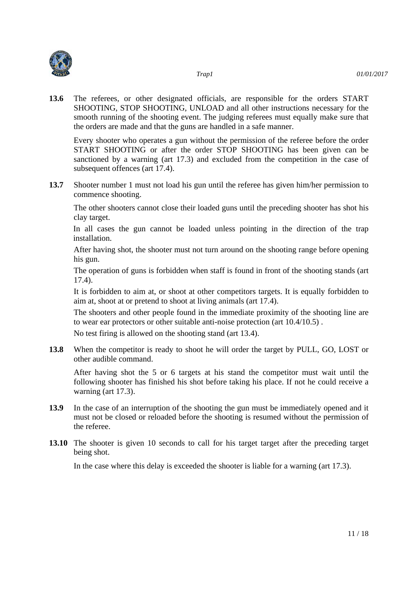

**13.6** The referees, or other designated officials, are responsible for the orders START SHOOTING, STOP SHOOTING, UNLOAD and all other instructions necessary for the smooth running of the shooting event. The judging referees must equally make sure that the orders are made and that the guns are handled in a safe manner.

Every shooter who operates a gun without the permission of the referee before the order START SHOOTING or after the order STOP SHOOTING has been given can be sanctioned by a warning (art 17.3) and excluded from the competition in the case of subsequent offences (art 17.4).

**13.7** Shooter number 1 must not load his gun until the referee has given him/her permission to commence shooting.

The other shooters cannot close their loaded guns until the preceding shooter has shot his clay target.

In all cases the gun cannot be loaded unless pointing in the direction of the trap installation.

After having shot, the shooter must not turn around on the shooting range before opening his gun.

The operation of guns is forbidden when staff is found in front of the shooting stands (art 17.4).

It is forbidden to aim at, or shoot at other competitors targets. It is equally forbidden to aim at, shoot at or pretend to shoot at living animals (art 17.4).

The shooters and other people found in the immediate proximity of the shooting line are to wear ear protectors or other suitable anti-noise protection (art 10.4/10.5) .

No test firing is allowed on the shooting stand (art 13.4).

**13.8** When the competitor is ready to shoot he will order the target by PULL, GO, LOST or other audible command.

After having shot the 5 or 6 targets at his stand the competitor must wait until the following shooter has finished his shot before taking his place. If not he could receive a warning (art 17.3).

- **13.9** In the case of an interruption of the shooting the gun must be immediately opened and it must not be closed or reloaded before the shooting is resumed without the permission of the referee.
- **13.10** The shooter is given 10 seconds to call for his target target after the preceding target being shot.

In the case where this delay is exceeded the shooter is liable for a warning (art 17.3).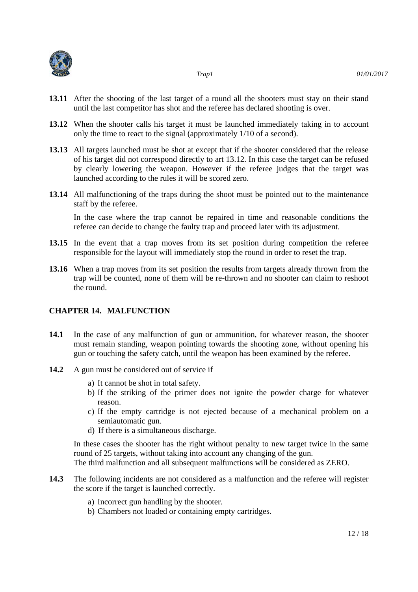



- **13.11** After the shooting of the last target of a round all the shooters must stay on their stand until the last competitor has shot and the referee has declared shooting is over.
- **13.12** When the shooter calls his target it must be launched immediately taking in to account only the time to react to the signal (approximately 1/10 of a second).
- **13.13** All targets launched must be shot at except that if the shooter considered that the release of his target did not correspond directly to art 13.12. In this case the target can be refused by clearly lowering the weapon. However if the referee judges that the target was launched according to the rules it will be scored zero.
- **13.14** All malfunctioning of the traps during the shoot must be pointed out to the maintenance staff by the referee.

In the case where the trap cannot be repaired in time and reasonable conditions the referee can decide to change the faulty trap and proceed later with its adjustment.

- 13.15 In the event that a trap moves from its set position during competition the referee responsible for the layout will immediately stop the round in order to reset the trap.
- **13.16** When a trap moves from its set position the results from targets already thrown from the trap will be counted, none of them will be re-thrown and no shooter can claim to reshoot the round.

#### **CHAPTER 14. MALFUNCTION**

- **14.1** In the case of any malfunction of gun or ammunition, for whatever reason, the shooter must remain standing, weapon pointing towards the shooting zone, without opening his gun or touching the safety catch, until the weapon has been examined by the referee.
- 14.2 A gun must be considered out of service if
	- a) It cannot be shot in total safety.
	- b) If the striking of the primer does not ignite the powder charge for whatever reason.
	- c) If the empty cartridge is not ejected because of a mechanical problem on a semiautomatic gun.
	- d) If there is a simultaneous discharge.

In these cases the shooter has the right without penalty to new target twice in the same round of 25 targets, without taking into account any changing of the gun. The third malfunction and all subsequent malfunctions will be considered as ZERO.

- **14.3** The following incidents are not considered as a malfunction and the referee will register the score if the target is launched correctly.
	- a) Incorrect gun handling by the shooter.
	- b) Chambers not loaded or containing empty cartridges.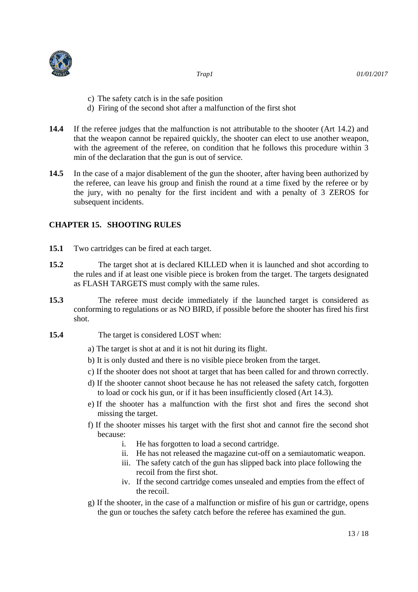

- c) The safety catch is in the safe position
- d) Firing of the second shot after a malfunction of the first shot
- **14.4** If the referee judges that the malfunction is not attributable to the shooter (Art 14.2) and that the weapon cannot be repaired quickly, the shooter can elect to use another weapon, with the agreement of the referee, on condition that he follows this procedure within 3 min of the declaration that the gun is out of service.
- **14.5** In the case of a major disablement of the gun the shooter, after having been authorized by the referee, can leave his group and finish the round at a time fixed by the referee or by the jury, with no penalty for the first incident and with a penalty of 3 ZEROS for subsequent incidents.

#### **CHAPTER 15. SHOOTING RULES**

- **15.1** Two cartridges can be fired at each target.
- **15.2** The target shot at is declared KILLED when it is launched and shot according to the rules and if at least one visible piece is broken from the target. The targets designated as FLASH TARGETS must comply with the same rules.
- **15.3** The referee must decide immediately if the launched target is considered as conforming to regulations or as NO BIRD, if possible before the shooter has fired his first shot.
- **15.4** The target is considered LOST when:
	- a) The target is shot at and it is not hit during its flight.
	- b) It is only dusted and there is no visible piece broken from the target.
	- c) If the shooter does not shoot at target that has been called for and thrown correctly.
	- d) If the shooter cannot shoot because he has not released the safety catch, forgotten to load or cock his gun, or if it has been insufficiently closed (Art 14.3).
	- e) If the shooter has a malfunction with the first shot and fires the second shot missing the target.
	- f) If the shooter misses his target with the first shot and cannot fire the second shot because:
		- i. He has forgotten to load a second cartridge.
		- ii. He has not released the magazine cut-off on a semiautomatic weapon.
		- iii. The safety catch of the gun has slipped back into place following the recoil from the first shot.
		- iv. If the second cartridge comes unsealed and empties from the effect of the recoil.
	- g) If the shooter, in the case of a malfunction or misfire of his gun or cartridge, opens the gun or touches the safety catch before the referee has examined the gun.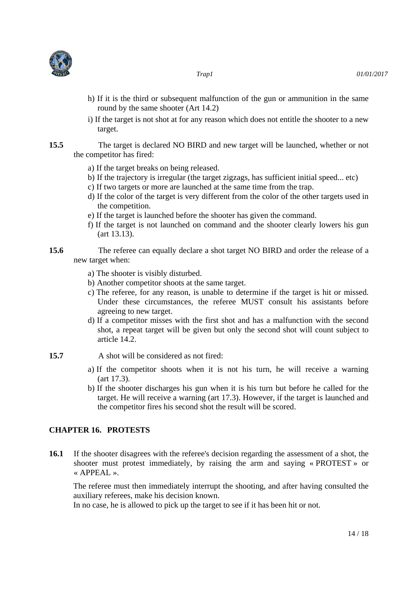



- 
- h) If it is the third or subsequent malfunction of the gun or ammunition in the same round by the same shooter (Art 14.2)
- i) If the target is not shot at for any reason which does not entitle the shooter to a new target.
- **15.5** The target is declared NO BIRD and new target will be launched, whether or not the competitor has fired:
	- a) If the target breaks on being released.
	- b) If the trajectory is irregular (the target zigzags, has sufficient initial speed... etc)
	- c) If two targets or more are launched at the same time from the trap.
	- d) If the color of the target is very different from the color of the other targets used in the competition.
	- e) If the target is launched before the shooter has given the command.
	- f) If the target is not launched on command and the shooter clearly lowers his gun (art 13.13).
- **15.6** The referee can equally declare a shot target NO BIRD and order the release of a new target when:
	- a) The shooter is visibly disturbed.
	- b) Another competitor shoots at the same target.
	- c) The referee, for any reason, is unable to determine if the target is hit or missed. Under these circumstances, the referee MUST consult his assistants before agreeing to new target.
	- d) If a competitor misses with the first shot and has a malfunction with the second shot, a repeat target will be given but only the second shot will count subject to article 14.2.
- **15.7** A shot will be considered as not fired:
	- a) If the competitor shoots when it is not his turn, he will receive a warning (art 17.3).
	- b) If the shooter discharges his gun when it is his turn but before he called for the target. He will receive a warning (art 17.3). However, if the target is launched and the competitor fires his second shot the result will be scored.

#### **CHAPTER 16. PROTESTS**

**16.1** If the shooter disagrees with the referee's decision regarding the assessment of a shot, the shooter must protest immediately, by raising the arm and saying « PROTEST » or « APPEAL ».

The referee must then immediately interrupt the shooting, and after having consulted the auxiliary referees, make his decision known.

In no case, he is allowed to pick up the target to see if it has been hit or not.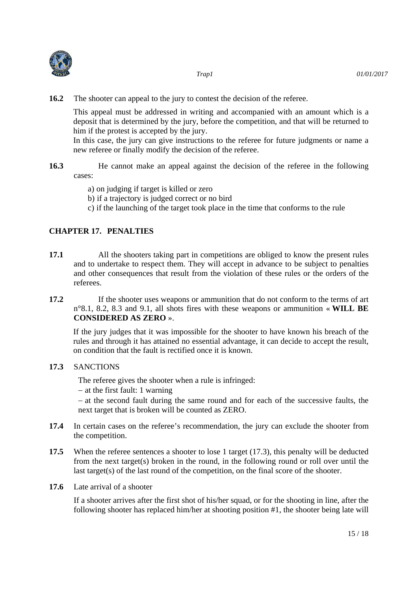

**16.2** The shooter can appeal to the jury to contest the decision of the referee.

This appeal must be addressed in writing and accompanied with an amount which is a deposit that is determined by the jury, before the competition, and that will be returned to him if the protest is accepted by the jury.

In this case, the jury can give instructions to the referee for future judgments or name a new referee or finally modify the decision of the referee.

**16.3** He cannot make an appeal against the decision of the referee in the following cases:

- a) on judging if target is killed or zero
- b) if a trajectory is judged correct or no bird
- c) if the launching of the target took place in the time that conforms to the rule

#### **CHAPTER 17. PENALTIES**

- **17.1** All the shooters taking part in competitions are obliged to know the present rules and to undertake to respect them. They will accept in advance to be subject to penalties and other consequences that result from the violation of these rules or the orders of the referees.
- **17.2** If the shooter uses weapons or ammunition that do not conform to the terms of art n°8.1, 8.2, 8.3 and 9.1, all shots fires with these weapons or ammunition « **WILL BE CONSIDERED AS ZERO** ».

If the jury judges that it was impossible for the shooter to have known his breach of the rules and through it has attained no essential advantage, it can decide to accept the result, on condition that the fault is rectified once it is known.

#### **17.3** SANCTIONS

The referee gives the shooter when a rule is infringed:

 $-$  at the first fault: 1 warning

 at the second fault during the same round and for each of the successive faults, the next target that is broken will be counted as ZERO.

- **17.4** In certain cases on the referee's recommendation, the jury can exclude the shooter from the competition.
- **17.5** When the referee sentences a shooter to lose 1 target (17.3), this penalty will be deducted from the next target(s) broken in the round, in the following round or roll over until the last target(s) of the last round of the competition, on the final score of the shooter.
- **17.6** Late arrival of a shooter

If a shooter arrives after the first shot of his/her squad, or for the shooting in line, after the following shooter has replaced him/her at shooting position #1, the shooter being late will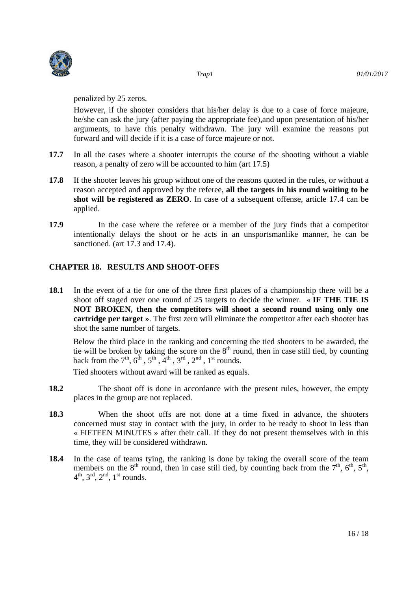

penalized by 25 zeros.

However, if the shooter considers that his/her delay is due to a case of force majeure, he/she can ask the jury (after paying the appropriate fee),and upon presentation of his/her arguments, to have this penalty withdrawn. The jury will examine the reasons put forward and will decide if it is a case of force majeure or not.

- **17.7** In all the cases where a shooter interrupts the course of the shooting without a viable reason, a penalty of zero will be accounted to him (art 17.5)
- **17.8** If the shooter leaves his group without one of the reasons quoted in the rules, or without a reason accepted and approved by the referee, **all the targets in his round waiting to be shot will be registered as ZERO**. In case of a subsequent offense, article 17.4 can be applied.
- **17.9** In the case where the referee or a member of the jury finds that a competitor intentionally delays the shoot or he acts in an unsportsmanlike manner, he can be sanctioned. (art 17.3 and 17.4).

#### **CHAPTER 18. RESULTS AND SHOOT-OFFS**

**18.1** In the event of a tie for one of the three first places of a championship there will be a shoot off staged over one round of 25 targets to decide the winner. « **IF THE TIE IS NOT BROKEN, then the competitors will shoot a second round using only one cartridge per target »**. The first zero will eliminate the competitor after each shooter has shot the same number of targets.

Below the third place in the ranking and concerning the tied shooters to be awarded, the tie will be broken by taking the score on the  $8<sup>th</sup>$  round, then in case still tied, by counting back from the  $7<sup>th</sup>$ ,  $6<sup>th</sup>$ ,  $5<sup>th</sup>$ ,  $4<sup>th</sup>$ ,  $3<sup>rd</sup>$ ,  $2<sup>nd</sup>$ ,  $1<sup>st</sup>$  rounds.

Tied shooters without award will be ranked as equals.

- **18.2** The shoot off is done in accordance with the present rules, however, the empty places in the group are not replaced.
- **18.3** When the shoot offs are not done at a time fixed in advance, the shooters concerned must stay in contact with the jury, in order to be ready to shoot in less than « FIFTEEN MINUTES » after their call. If they do not present themselves with in this time, they will be considered withdrawn.
- **18.4** In the case of teams tying, the ranking is done by taking the overall score of the team members on the  $8<sup>th</sup>$  round, then in case still tied, by counting back from the  $7<sup>th</sup>$ ,  $6<sup>th</sup>$ ,  $5<sup>th</sup>$ ,  $4<sup>th</sup>$ ,  $3<sup>rd</sup>$ ,  $2<sup>nd</sup>$ ,  $1<sup>st</sup>$  rounds.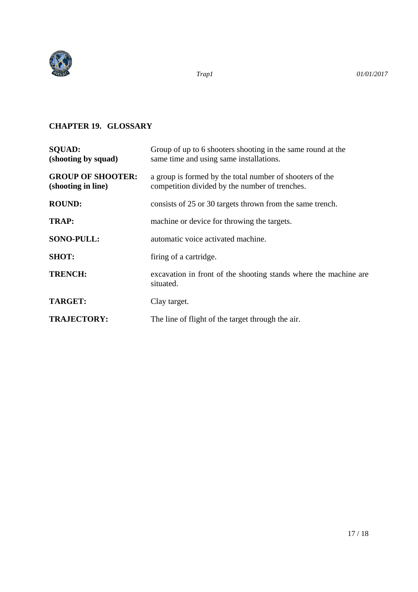

#### **CHAPTER 19. GLOSSARY**

| <b>SOUAD:</b><br>(shooting by squad)           | Group of up to 6 shooters shooting in the same round at the<br>same time and using same installations.     |
|------------------------------------------------|------------------------------------------------------------------------------------------------------------|
| <b>GROUP OF SHOOTER:</b><br>(shooting in line) | a group is formed by the total number of shooters of the<br>competition divided by the number of trenches. |
| <b>ROUND:</b>                                  | consists of 25 or 30 targets thrown from the same trench.                                                  |
| <b>TRAP:</b>                                   | machine or device for throwing the targets.                                                                |
| <b>SONO-PULL:</b>                              | automatic voice activated machine.                                                                         |
| <b>SHOT:</b>                                   | firing of a cartridge.                                                                                     |
| <b>TRENCH:</b>                                 | excavation in front of the shooting stands where the machine are<br>situated.                              |
| <b>TARGET:</b>                                 | Clay target.                                                                                               |
| <b>TRAJECTORY:</b>                             | The line of flight of the target through the air.                                                          |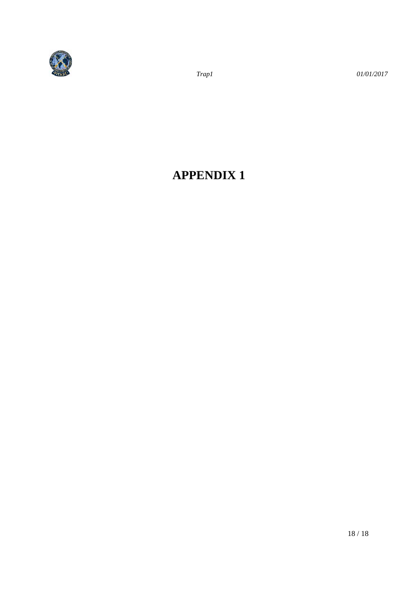

 *Trap1 01/01/2017* 

## **APPENDIX 1**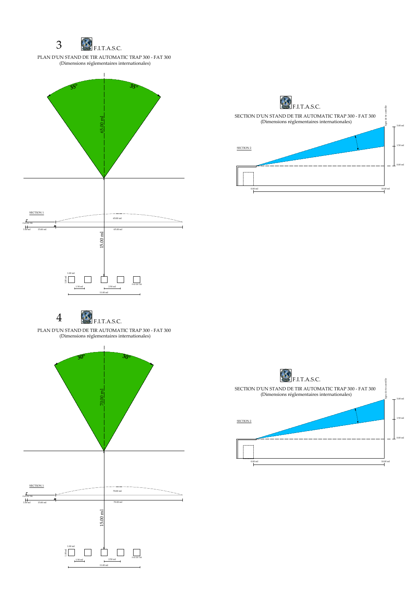PLAN D'UN STAND DE TIR AUTOMATIC TRAP 300 - FAT 300 (Dimensions réglementaires internationales)